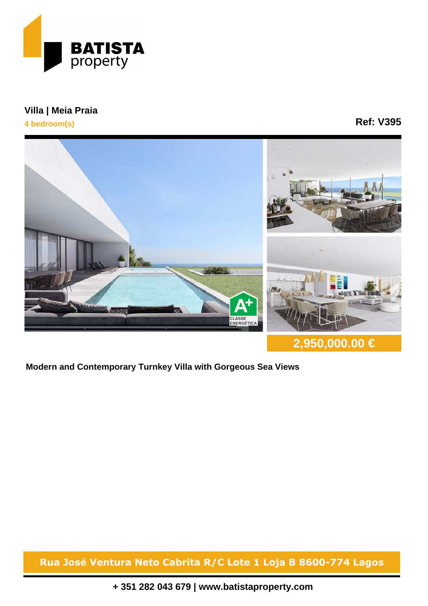

**Villa | Meia Praia**

**4 bedroom(s)**

## **Ref: V395**



**2,950,000.00 €**

**Modern and Contemporary Turnkey Villa with Gorgeous Sea Views**

**Rua José Ventura Neto Cabrita R/C Lote 1 Loja B 8600-774 Lagos**

**+ 351 282 043 679 | www.batistaproperty.com**